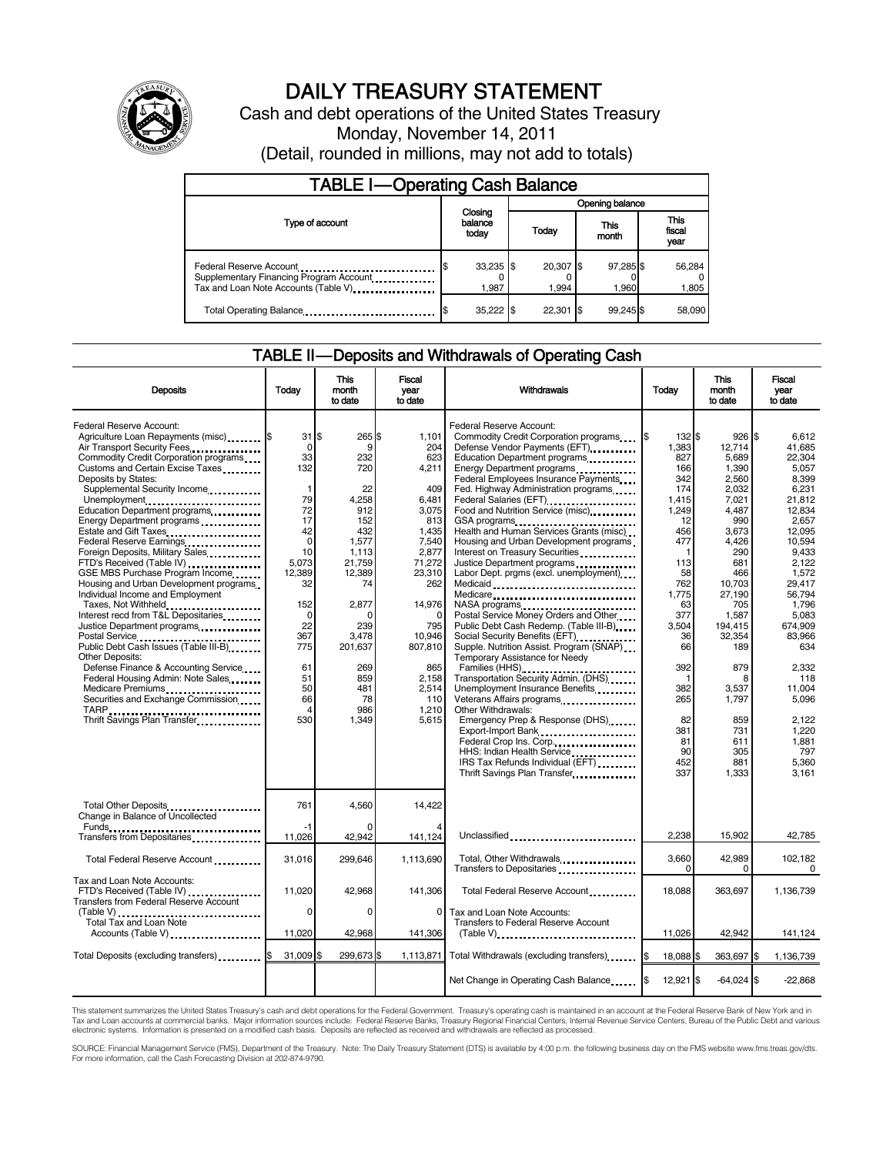

# DAILY TREASURY STATEMENT

Cash and debt operations of the United States Treasury Monday, November 14, 2011 (Detail, rounded in millions, may not add to totals)

| <b>TABLE I-Operating Cash Balance</b>                                                                      |                             |       |                    |                    |                               |  |  |
|------------------------------------------------------------------------------------------------------------|-----------------------------|-------|--------------------|--------------------|-------------------------------|--|--|
|                                                                                                            |                             |       | Opening balance    |                    |                               |  |  |
| Type of account                                                                                            | Closing<br>balance<br>today | Today |                    | This<br>month      | <b>This</b><br>fiscal<br>year |  |  |
| Federal Reserve Account<br>Supplementary Financing Program Account<br>Tax and Loan Note Accounts (Table V) | $33,235$ \$<br>1.987        |       | 20,307 \$<br>1.994 | 97,285 \$<br>1,960 | 56,284<br>1,805               |  |  |
| Total Operating Balance                                                                                    | 35,222 \$                   |       | $22.301$ \$        | 99.245 \$          | 58,090                        |  |  |

## TABLE II-Deposits and Withdrawals of Operating Cash

| <b>Deposits</b>                                                                                                                                                                                                                                                                                                                                                                                                                                                                                                                                                                                                                                                                                                                                                                                                                                    | Todav                                                                                                                                                                                                      | <b>This</b><br>month<br>to date                                                                                                                                                               | <b>Fiscal</b><br>year<br>to date                                                                                                                                                                           | Withdrawals                                                                                                                                                                                                                                                                                                                                                                                                                                                                                                                                                                                                                                                                                                                                                                                                                                                                                                                                                                                                                                                                                                                 | Todav                                                                                                                                                                                                                         | <b>This</b><br>month<br>to date                                                                                                                                                                                                                              | Fiscal<br>vear<br>to date                                                                                                                                                                                                                                                                 |
|----------------------------------------------------------------------------------------------------------------------------------------------------------------------------------------------------------------------------------------------------------------------------------------------------------------------------------------------------------------------------------------------------------------------------------------------------------------------------------------------------------------------------------------------------------------------------------------------------------------------------------------------------------------------------------------------------------------------------------------------------------------------------------------------------------------------------------------------------|------------------------------------------------------------------------------------------------------------------------------------------------------------------------------------------------------------|-----------------------------------------------------------------------------------------------------------------------------------------------------------------------------------------------|------------------------------------------------------------------------------------------------------------------------------------------------------------------------------------------------------------|-----------------------------------------------------------------------------------------------------------------------------------------------------------------------------------------------------------------------------------------------------------------------------------------------------------------------------------------------------------------------------------------------------------------------------------------------------------------------------------------------------------------------------------------------------------------------------------------------------------------------------------------------------------------------------------------------------------------------------------------------------------------------------------------------------------------------------------------------------------------------------------------------------------------------------------------------------------------------------------------------------------------------------------------------------------------------------------------------------------------------------|-------------------------------------------------------------------------------------------------------------------------------------------------------------------------------------------------------------------------------|--------------------------------------------------------------------------------------------------------------------------------------------------------------------------------------------------------------------------------------------------------------|-------------------------------------------------------------------------------------------------------------------------------------------------------------------------------------------------------------------------------------------------------------------------------------------|
| Federal Reserve Account:<br>Agriculture Loan Repayments (misc) \$<br>Air Transport Security Fees<br>Commodity Credit Corporation programs<br>Customs and Certain Excise Taxes<br>Deposits by States:<br>Supplemental Security Income<br>Unemployment<br>Education Department programs<br>Energy Department programs<br>Estate and Gift Taxes<br>Federal Reserve Earnings<br>Foreign Deposits, Military Sales<br>FTD's Received (Table IV)<br>GSE MBS Purchase Program Income<br>Housing and Urban Development programs<br>Individual Income and Employment<br>Taxes, Not Withheld<br>Interest recd from T&L Depositaries<br>Justice Department programs<br>Other Deposits:<br>Defense Finance & Accounting Service<br>Federal Housing Admin: Note Sales<br>Medicare Premiums<br>Securities and Exchange Commission<br>Thrift Savings Plan Transfer | $31$ $\overline{\text{S}}$<br>$\Omega$<br>33<br>132<br>$\mathbf{1}$<br>79<br>72<br>17<br>42<br>$\Omega$<br>10<br>5.073<br>12,389<br>32<br>152<br>0<br>22<br>367<br>775<br>61<br>51<br>50<br>66<br>4<br>530 | 265 \$<br>9<br>232<br>720<br>22<br>4,258<br>912<br>152<br>432<br>1,577<br>1.113<br>21.759<br>12,389<br>74<br>2,877<br>n<br>239<br>3.478<br>201.637<br>269<br>859<br>481<br>78<br>986<br>1,349 | 1,101<br>204<br>623<br>4,211<br>409<br>6,481<br>3,075<br>813<br>1.435<br>7,540<br>2,877<br>71,272<br>23,310<br>262<br>14,976<br>795<br>10.946<br>807.810<br>865<br>2,158<br>2.514<br>110<br>1.210<br>5.615 | Federal Reserve Account:<br>Commodity Credit Corporation programs<br>Defense Vendor Payments (EFT)<br>Education Department programs<br>Energy Department programs<br>Federal Employees Insurance Payments<br>Fed. Highway Administration programs<br>Federal Salaries (EFT)<br>Food and Nutrition Service (misc)<br>GSA programs<br>Health and Human Services Grants (misc)<br>Housing and Urban Development programs<br>Interest on Treasury Securities<br>Justice Department programs<br>Labor Dept. prgms (excl. unemployment)<br>Medicaid<br>Medicare<br>Postal Service Money Orders and Other<br>Public Debt Cash Redemp. (Table III-B)<br>Social Security Benefits (EFT)<br>Supple. Nutrition Assist. Program (SNAP)<br>Temporary Assistance for Needy<br>Families (HHS)<br>Transportation Security Admin. (DHS)<br>Unemployment Insurance Benefits<br>Veterans Affairs programs<br>Other Withdrawals:<br>Emergency Prep & Response (DHS)<br>Export-Import Bank<br>Federal Crop Ins. Corp<br>HHS: Indian Health Service <b>Communist Property</b><br>IRS Tax Refunds Individual (EFT)<br>Thrift Savings Plan Transfer | 132 \$<br>I\$<br>1.383<br>827<br>166<br>342<br>174<br>1,415<br>1,249<br>12<br>456<br>477<br>1<br>113<br>58<br>762<br>1,775<br>63<br>377<br>3.504<br>36<br>66<br>392<br>1<br>382<br>265<br>82<br>381<br>81<br>90<br>452<br>337 | 926S<br>12.714<br>5.689<br>1,390<br>2,560<br>2,032<br>7,021<br>4,487<br>990<br>3,673<br>4,426<br>290<br>681<br>466<br>10,703<br>27,190<br>705<br>1,587<br>194.415<br>32.354<br>189<br>879<br>8<br>3,537<br>1,797<br>859<br>731<br>611<br>305<br>881<br>1,333 | 6.612<br>41.685<br>22.304<br>5.057<br>8,399<br>6,231<br>21,812<br>12,834<br>2,657<br>12.095<br>10.594<br>9.433<br>2.122<br>1,572<br>29,417<br>56.794<br>1,796<br>5,083<br>674.909<br>83.966<br>634<br>2,332<br>118<br>11.004<br>5.096<br>2.122<br>1.220<br>1.881<br>797<br>5.360<br>3.161 |
| Total Other Deposits<br>Change in Balance of Uncollected                                                                                                                                                                                                                                                                                                                                                                                                                                                                                                                                                                                                                                                                                                                                                                                           | 761                                                                                                                                                                                                        | 4.560                                                                                                                                                                                         | 14.422                                                                                                                                                                                                     |                                                                                                                                                                                                                                                                                                                                                                                                                                                                                                                                                                                                                                                                                                                                                                                                                                                                                                                                                                                                                                                                                                                             |                                                                                                                                                                                                                               |                                                                                                                                                                                                                                                              |                                                                                                                                                                                                                                                                                           |
| Transfers from Depositaries                                                                                                                                                                                                                                                                                                                                                                                                                                                                                                                                                                                                                                                                                                                                                                                                                        | -1<br>11,026                                                                                                                                                                                               | 42,942                                                                                                                                                                                        | 141,124                                                                                                                                                                                                    | Unclassified                                                                                                                                                                                                                                                                                                                                                                                                                                                                                                                                                                                                                                                                                                                                                                                                                                                                                                                                                                                                                                                                                                                | 2.238                                                                                                                                                                                                                         | 15.902                                                                                                                                                                                                                                                       | 42,785                                                                                                                                                                                                                                                                                    |
| Total Federal Reserve Account                                                                                                                                                                                                                                                                                                                                                                                                                                                                                                                                                                                                                                                                                                                                                                                                                      | 31,016                                                                                                                                                                                                     | 299,646                                                                                                                                                                                       | 1.113.690                                                                                                                                                                                                  | Total, Other Withdrawals<br>Transfers to Depositaries                                                                                                                                                                                                                                                                                                                                                                                                                                                                                                                                                                                                                                                                                                                                                                                                                                                                                                                                                                                                                                                                       | 3.660<br>$\Omega$                                                                                                                                                                                                             | 42.989<br>0                                                                                                                                                                                                                                                  | 102.182<br>0                                                                                                                                                                                                                                                                              |
| Tax and Loan Note Accounts:<br>FTD's Received (Table IV)<br><b>Transfers from Federal Reserve Account</b>                                                                                                                                                                                                                                                                                                                                                                                                                                                                                                                                                                                                                                                                                                                                          | 11,020                                                                                                                                                                                                     | 42,968                                                                                                                                                                                        | 141,306                                                                                                                                                                                                    | Total Federal Reserve Account                                                                                                                                                                                                                                                                                                                                                                                                                                                                                                                                                                                                                                                                                                                                                                                                                                                                                                                                                                                                                                                                                               | 18,088                                                                                                                                                                                                                        | 363,697                                                                                                                                                                                                                                                      | 1,136,739                                                                                                                                                                                                                                                                                 |
| (Table V)<br>Total Tax and Loan Note<br>Accounts (Table V)                                                                                                                                                                                                                                                                                                                                                                                                                                                                                                                                                                                                                                                                                                                                                                                         | 0<br>11,020                                                                                                                                                                                                | 0<br>42,968                                                                                                                                                                                   | $\Omega$<br>141,306                                                                                                                                                                                        | Tax and Loan Note Accounts:<br>Transfers to Federal Reserve Account                                                                                                                                                                                                                                                                                                                                                                                                                                                                                                                                                                                                                                                                                                                                                                                                                                                                                                                                                                                                                                                         | 11,026                                                                                                                                                                                                                        | 42,942                                                                                                                                                                                                                                                       | 141,124                                                                                                                                                                                                                                                                                   |
| Total Deposits (excluding transfers)                                                                                                                                                                                                                                                                                                                                                                                                                                                                                                                                                                                                                                                                                                                                                                                                               | 31,009                                                                                                                                                                                                     | 299,673 \$                                                                                                                                                                                    | 1,113,871                                                                                                                                                                                                  | Total Withdrawals (excluding transfers) [\$                                                                                                                                                                                                                                                                                                                                                                                                                                                                                                                                                                                                                                                                                                                                                                                                                                                                                                                                                                                                                                                                                 | 18.088 \$                                                                                                                                                                                                                     | 363.697 \$                                                                                                                                                                                                                                                   | 1.136.739                                                                                                                                                                                                                                                                                 |
|                                                                                                                                                                                                                                                                                                                                                                                                                                                                                                                                                                                                                                                                                                                                                                                                                                                    |                                                                                                                                                                                                            |                                                                                                                                                                                               |                                                                                                                                                                                                            | Net Change in Operating Cash Balance                                                                                                                                                                                                                                                                                                                                                                                                                                                                                                                                                                                                                                                                                                                                                                                                                                                                                                                                                                                                                                                                                        | I\$<br>12,921 \$                                                                                                                                                                                                              | $-64,024$ \$                                                                                                                                                                                                                                                 | $-22,868$                                                                                                                                                                                                                                                                                 |

This statement summarizes the United States Treasury's cash and debt operations for the Federal Government. Treasury's operating cash is maintained in an account at the Federal Reserve Bank of New York and in<br>Tax and Loan

SOURCE: Financial Management Service (FMS), Department of the Treasury. Note: The Daily Treasury Statement (DTS) is available by 4:00 p.m. the following business day on the FMS website www.fms.treas.gov/dts.<br>For more infor